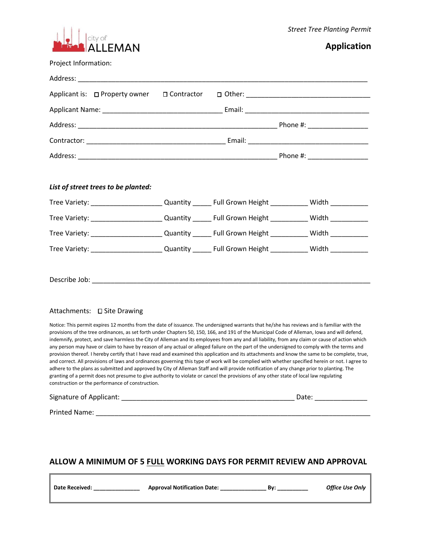

## **Application**

| Project Information:                                                                                      |  |  |
|-----------------------------------------------------------------------------------------------------------|--|--|
|                                                                                                           |  |  |
| Applicant is: □ Property owner □ Contractor □ Other: ___________________________________                  |  |  |
|                                                                                                           |  |  |
|                                                                                                           |  |  |
|                                                                                                           |  |  |
|                                                                                                           |  |  |
|                                                                                                           |  |  |
| List of street trees to be planted:                                                                       |  |  |
| Tree Variety: _______________________Quantity ________ Full Grown Height ___________ Width _____________  |  |  |
| Tree Variety: _______________________Quantity ________ Full Grown Height ____________ Width _____________ |  |  |
| Tree Variety: _______________________Quantity ________ Full Grown Height ___________ Width _____________  |  |  |
| Tree Variety: _______________________Quantity ________ Full Grown Height ____________ Width ____________  |  |  |
|                                                                                                           |  |  |
|                                                                                                           |  |  |
|                                                                                                           |  |  |
| Attachments: □ Site Drawing                                                                               |  |  |

Notice: This permit expires 12 months from the date of issuance. The undersigned warrants that he/she has reviews and is familiar with the provisions of the tree ordinances, as set forth under Chapters 50, 150, 166, and 191 of the Municipal Code of Alleman, Iowa and will defend, indemnify, protect, and save harmless the City of Alleman and its employees from any and all liability, from any claim or cause of action which any person may have or claim to have by reason of any actual or alleged failure on the part of the undersigned to comply with the terms and provision thereof. I hereby certify that I have read and examined this application and its attachments and know the same to be complete, true, and correct. All provisions of laws and ordinances governing this type of work will be complied with whether specified herein or not. I agree to adhere to the plans as submitted and approved by City of Alleman Staff and will provide notification of any change prior to planting. The granting of a permit does not presume to give authority to violate or cancel the provisions of any other state of local law regulating construction or the performance of construction.

Signature of Applicant: \_\_\_\_\_\_\_\_\_\_\_\_\_\_\_\_\_\_\_\_\_\_\_\_\_\_\_\_\_\_\_\_\_\_\_\_\_\_\_\_\_\_\_\_\_\_ Date: \_\_\_\_\_\_\_\_\_\_\_\_\_\_

Printed Name: \_\_\_\_\_\_\_\_\_\_\_\_\_\_\_\_\_\_\_\_\_\_\_\_\_\_\_\_\_\_\_\_\_\_\_\_\_\_\_\_\_\_\_\_\_\_\_\_\_\_\_\_\_\_\_\_\_\_\_\_\_\_\_\_\_\_\_\_\_\_\_\_\_

## **ALLOW A MINIMUM OF 5 FULL WORKING DAYS FOR PERMIT REVIEW AND APPROVAL**

**Date Received: \_\_\_\_\_\_\_\_\_\_\_\_\_\_\_ Approval Notification Date: \_\_\_\_\_\_\_\_\_\_\_\_\_\_\_ By: \_\_\_\_\_\_\_\_\_\_** *Office Use Only*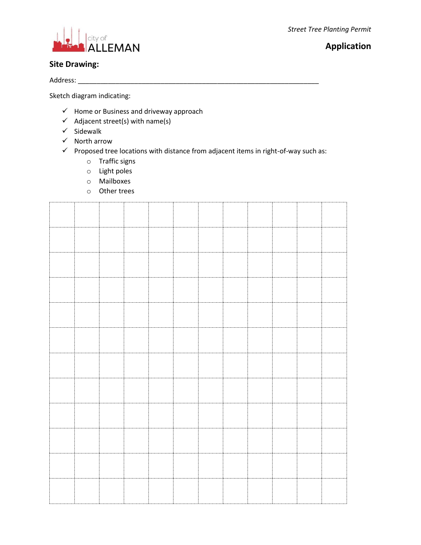*Street Tree Planting Permit*



# **Application**

### **Site Drawing:**

Address: \_\_\_\_\_\_\_\_\_\_\_\_\_\_\_\_\_\_\_\_\_\_\_\_\_\_\_\_\_\_\_\_\_\_\_\_\_\_\_\_\_\_\_\_\_\_\_\_\_\_\_\_\_\_\_\_\_\_\_\_\_\_\_\_

Sketch diagram indicating:

- $\checkmark$  Home or Business and driveway approach
- $\checkmark$  Adjacent street(s) with name(s)
- $\checkmark$  Sidewalk
- $\checkmark$  North arrow
- $\checkmark$  Proposed tree locations with distance from adjacent items in right-of-way such as:
	- o Traffic signs
	- o Light poles
	- o Mailboxes
	- o Other trees

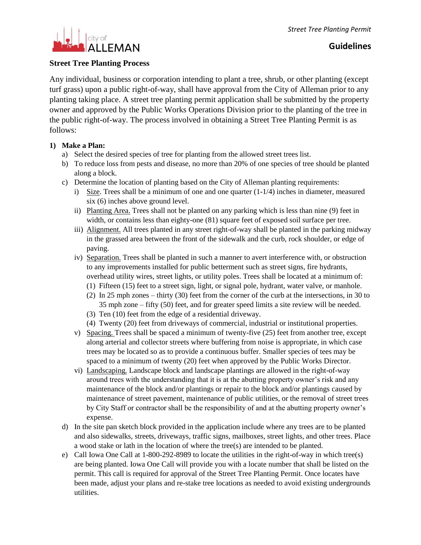

#### **Street Tree Planting Process**

Any individual, business or corporation intending to plant a tree, shrub, or other planting (except turf grass) upon a public right-of-way, shall have approval from the City of Alleman prior to any planting taking place. A street tree planting permit application shall be submitted by the property owner and approved by the Public Works Operations Division prior to the planting of the tree in the public right-of-way. The process involved in obtaining a Street Tree Planting Permit is as follows:

#### **1) Make a Plan:**

- a) Select the desired species of tree for planting from the allowed street trees list.
- b) To reduce loss from pests and disease, no more than 20% of one species of tree should be planted along a block.
- c) Determine the location of planting based on the City of Alleman planting requirements:
	- i) Size. Trees shall be a minimum of one and one quarter  $(1-1/4)$  inches in diameter, measured six (6) inches above ground level.
	- ii) Planting Area. Trees shall not be planted on any parking which is less than nine (9) feet in width, or contains less than eighty-one  $(81)$  square feet of exposed soil surface per tree.
	- iii) Alignment. All trees planted in any street right-of-way shall be planted in the parking midway in the grassed area between the front of the sidewalk and the curb, rock shoulder, or edge of paving.
	- iv) Separation. Trees shall be planted in such a manner to avert interference with, or obstruction to any improvements installed for public betterment such as street signs, fire hydrants, overhead utility wires, street lights, or utility poles. Trees shall be located at a minimum of:
		- (1) Fifteen (15) feet to a street sign, light, or signal pole, hydrant, water valve, or manhole.
		- (2) In 25 mph zones thirty (30) feet from the corner of the curb at the intersections, in 30 to 35 mph zone – fifty (50) feet, and for greater speed limits a site review will be needed.
		- (3) Ten (10) feet from the edge of a residential driveway.
		- (4) Twenty (20) feet from driveways of commercial, industrial or institutional properties.
	- v) Spacing. Trees shall be spaced a minimum of twenty-five (25) feet from another tree, except along arterial and collector streets where buffering from noise is appropriate, in which case trees may be located so as to provide a continuous buffer. Smaller species of tees may be spaced to a minimum of twenty (20) feet when approved by the Public Works Director.
	- vi) Landscaping. Landscape block and landscape plantings are allowed in the right-of-way around trees with the understanding that it is at the abutting property owner's risk and any maintenance of the block and/or plantings or repair to the block and/or plantings caused by maintenance of street pavement, maintenance of public utilities, or the removal of street trees by City Staff or contractor shall be the responsibility of and at the abutting property owner's expense.
- d) In the site pan sketch block provided in the application include where any trees are to be planted and also sidewalks, streets, driveways, traffic signs, mailboxes, street lights, and other trees. Place a wood stake or lath in the location of where the tree(s) are intended to be planted.
- e) Call Iowa One Call at 1-800-292-8989 to locate the utilities in the right-of-way in which tree(s) are being planted. Iowa One Call will provide you with a locate number that shall be listed on the permit. This call is required for approval of the Street Tree Planting Permit. Once locates have been made, adjust your plans and re-stake tree locations as needed to avoid existing undergrounds utilities.